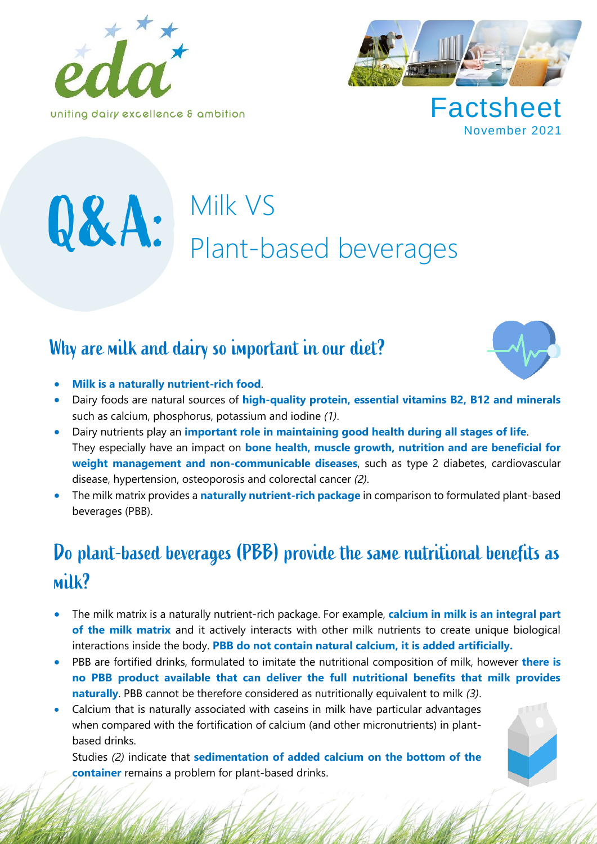



**Factsheet** November 2021

# Q&A: Milk VS<br>Plant-based beverages

## Why are milk and dairy so important in our diet?



- **Milk is a naturally nutrient-rich food**.
- Dairy foods are natural sources of **high-quality protein, essential vitamins B2, B12 and minerals** such as calcium, phosphorus, potassium and iodine *(1)*.
- Dairy nutrients play an **important role in maintaining good health during all stages of life**. They especially have an impact on **bone health, muscle growth, nutrition and are beneficial for weight management and non-communicable diseases**, such as type 2 diabetes, cardiovascular disease, hypertension, osteoporosis and colorectal cancer *(2)*.
- The milk matrix provides a **naturally nutrient-rich package** in comparison to formulated plant-based beverages (PBB).

## Do plant-based beverages (PBB) provide the same nutritional benefits as milk?

- The milk matrix is a naturally nutrient-rich package. For example, **calcium in milk is an integral part of the milk matrix** and it actively interacts with other milk nutrients to create unique biological interactions inside the body. **PBB do not contain natural calcium, it is added artificially.**
- PBB are fortified drinks, formulated to imitate the nutritional composition of milk, however **there is no PBB product available that can deliver the full nutritional benefits that milk provides naturally**. PBB cannot be therefore considered as nutritionally equivalent to milk *(3)*.
- Calcium that is naturally associated with caseins in milk have particular advantages when compared with the fortification of calcium (and other micronutrients) in plantbased drinks.

Studies *(2)* indicate that **sedimentation of added calcium on the bottom of the container** remains a problem for plant-based drinks.

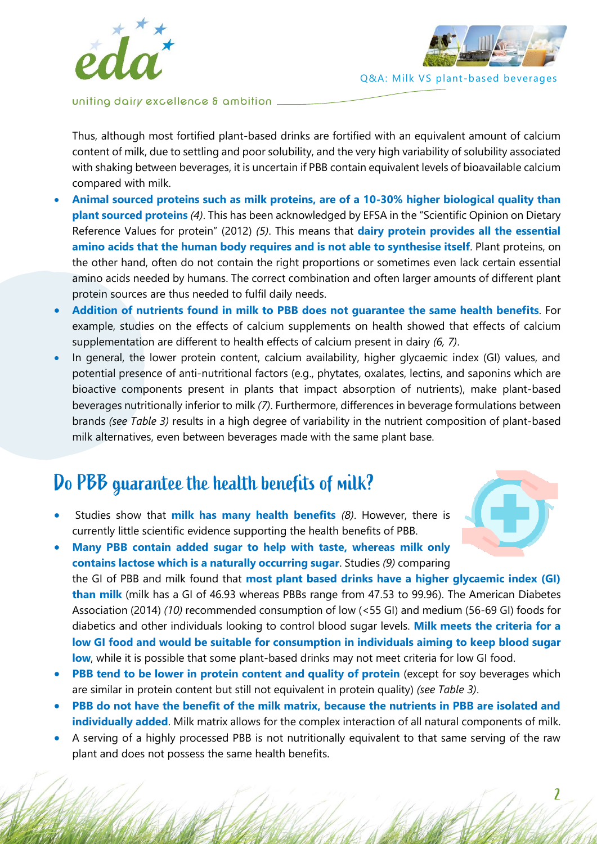



uniting dairy excellence & ambition.

Thus, although most fortified plant-based drinks are fortified with an equivalent amount of calcium content of milk, due to settling and poor solubility, and the very high variability of solubility associated with shaking between beverages, it is uncertain if PBB contain equivalent levels of bioavailable calcium compared with milk.

- **Animal sourced proteins such as milk proteins, are of a 10-30% higher biological quality than plant sourced proteins** *(4)*. This has been acknowledged by EFSA in the "Scientific Opinion on Dietary Reference Values for protein" (2012) *(5)*. This means that **dairy protein provides all the essential amino acids that the human body requires and is not able to synthesise itself**. Plant proteins, on the other hand, often do not contain the right proportions or sometimes even lack certain essential amino acids needed by humans. The correct combination and often larger amounts of different plant protein sources are thus needed to fulfil daily needs.
- **Addition of nutrients found in milk to PBB does not guarantee the same health benefits**. For example, studies on the effects of calcium supplements on health showed that effects of calcium supplementation are different to health effects of calcium present in dairy *(6, 7)*.
- In general, the lower protein content, calcium availability, higher glycaemic index (GI) values, and potential presence of anti-nutritional factors (e.g., phytates, oxalates, lectins, and saponins which are bioactive components present in plants that impact absorption of nutrients), make plant-based beverages nutritionally inferior to milk *(7)*. Furthermore, differences in beverage formulations between brands *(see Table 3)* results in a high degree of variability in the nutrient composition of plant-based milk alternatives, even between beverages made with the same plant base.

## Do PBB guarantee the health benefits of milk?

• Studies show that **milk has many health benefits** *(8)*. However, there is currently little scientific evidence supporting the health benefits of PBB.

• **Many PBB contain added sugar to help with taste, whereas milk only contains lactose which is a naturally occurring sugar**. Studies *(9)* comparing the GI of PBB and milk found that **most plant based drinks have a higher glycaemic index (GI) than milk** (milk has a GI of 46.93 whereas PBBs range from 47.53 to 99.96). The American Diabetes Association (2014) *(10)* recommended consumption of low (<55 GI) and medium (56-69 GI) foods for diabetics and other individuals looking to control blood sugar levels. **Milk meets the criteria for a low GI food and would be suitable for consumption in individuals aiming to keep blood sugar low**, while it is possible that some plant-based drinks may not meet criteria for low GI food.

- **PBB tend to be lower in protein content and quality of protein** (except for soy beverages which are similar in protein content but still not equivalent in protein quality) *(see Table 3)*.
- **PBB do not have the benefit of the milk matrix, because the nutrients in PBB are isolated and individually added**. Milk matrix allows for the complex interaction of all natural components of milk.
- A serving of a highly processed PBB is not nutritionally equivalent to that same serving of the raw plant and does not possess the same health benefits.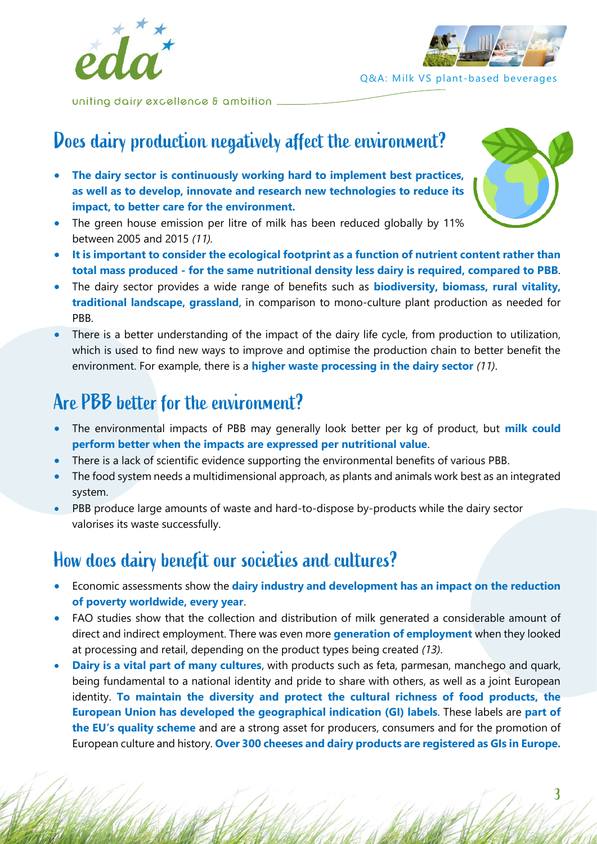



uniting dairy excellence & ambition

## Does dairy production negatively affect the environment?

- **The dairy sector is continuously working hard to implement best practices, as well as to develop, innovate and research new technologies to reduce its impact, to better care for the environment.**
- The green house emission per litre of milk has been reduced globally by 11% between 2005 and 2015 *(11).*
- **It is important to consider the ecological footprint as a function of nutrient content rather than total mass produced - for the same nutritional density less dairy is required, compared to PBB**.
- The dairy sector provides a wide range of benefits such as **biodiversity, biomass, rural vitality, traditional landscape, grassland**, in comparison to mono-culture plant production as needed for PBB.
- There is a better understanding of the impact of the dairy life cycle, from production to utilization, which is used to find new ways to improve and optimise the production chain to better benefit the environment. For example, there is a **higher waste processing in the dairy sector** *(11)*.

## Are PBB better for the environment?

- The environmental impacts of PBB may generally look better per kg of product, but **milk could perform better when the impacts are expressed per nutritional value**.
- There is a lack of scientific evidence supporting the environmental benefits of various PBB.
- The food system needs a multidimensional approach, as plants and animals work best as an integrated system.
- PBB produce large amounts of waste and hard-to-dispose by-products while the dairy sector valorises its waste successfully.

## How does dairy benefit our societies and cultures?

- Economic assessments show the **dairy industry and development has an impact on the reduction of poverty worldwide, every year**.
- FAO studies show that the collection and distribution of milk generated a considerable amount of direct and indirect employment. There was even more **generation of employment** when they looked at processing and retail, depending on the product types being created *(13)*.
- **Dairy is a vital part of many cultures**, with products such as feta, parmesan, manchego and quark, being fundamental to a national identity and pride to share with others, as well as a joint European identity. **To maintain the diversity and protect the cultural richness of food products, the European Union has developed the geographical indication (GI) labels**. These labels are **part of the EU's quality scheme** and are a strong asset for producers, consumers and for the promotion of European culture and history. **Over 300 cheeses and dairy products are registered as GIs in Europe.**

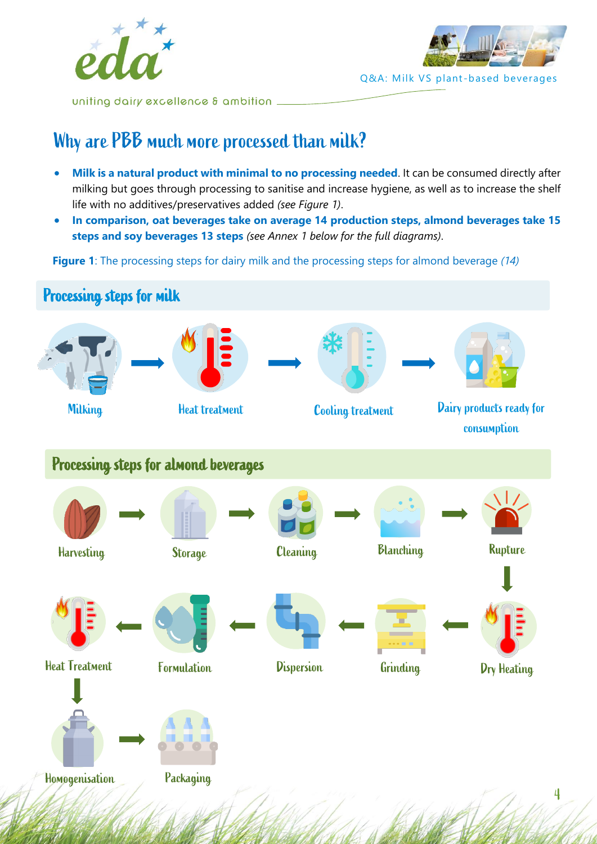



uniting dairy excellence & ambition .

## Why are PBB much more processed than milk?

- **Milk is a natural product with minimal to no processing needed**. It can be consumed directly after milking but goes through processing to sanitise and increase hygiene, as well as to increase the shelf life with no additives/preservatives added *(see Figure 1)*.
- **In comparison, oat beverages take on average 14 production steps, almond beverages take 15 steps and soy beverages 13 steps** *(see Annex 1 below for the full diagrams)*.

**Figure 1**: The processing steps for dairy milk and the processing steps for almond beverage *(14)*

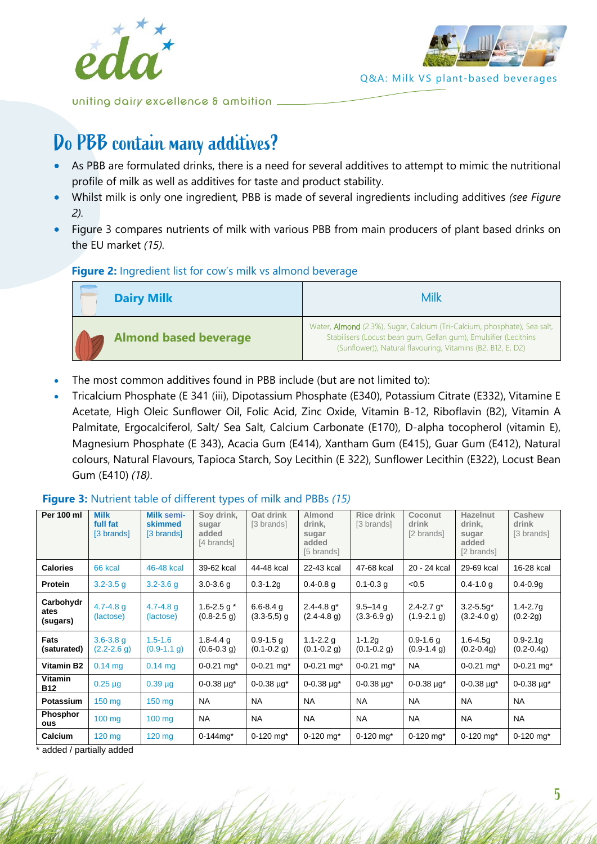



uniting dairy excellence & ambition.

## Do PBB contain many additives?

- As PBB are formulated drinks, there is a need for several additives to attempt to mimic the nutritional profile of milk as well as additives for taste and product stability.
- Whilst milk is only one ingredient, PBB is made of several ingredients including additives *(see Figure 2).*
- Figure 3 compares nutrients of milk with various PBB from main producers of plant based drinks on the EU market *(15).*

### **Figure 2:** Ingredient list for cow's milk vs almond beverage

| <b>Dairy Milk</b>            | Milk                                                                                                                                                                                                               |
|------------------------------|--------------------------------------------------------------------------------------------------------------------------------------------------------------------------------------------------------------------|
| <b>Almond based beverage</b> | Water, <b>Almond</b> (2.3%), Sugar, Calcium (Tri-Calcium, phosphate), Sea salt,<br>Stabilisers (Locust bean gum, Gellan gum), Emulsifier (Lecithins<br>(Sunflower)), Natural flavouring, Vitamins (B2, B12, E, D2) |

- The most common additives found in PBB include (but are not limited to):
- Tricalcium Phosphate (E 341 (iii), Dipotassium Phosphate (E340), Potassium Citrate (E332), Vitamine E Acetate, High Oleic Sunflower Oil, Folic Acid, Zinc Oxide, Vitamin B-12, Riboflavin (B2), Vitamin A Palmitate, Ergocalciferol, Salt/ Sea Salt, Calcium Carbonate (E170), D-alpha tocopherol (vitamin E), Magnesium Phosphate (E 343), Acacia Gum (E414), Xantham Gum (E415), Guar Gum (E412), Natural colours, Natural Flavours, Tapioca Starch, Soy Lecithin (E 322), Sunflower Lecithin (E322), Locust Bean Gum (E410) *(18)*.

#### **Per 100 ml Milk full fat** [3 brands] **Milk semiskimmed** [3 brands] **Soy drink, sugar added** [4 brands] **Oat drink** [3 brands] **Almond drink, sugar added** [5 brands] **Rice drink** [3 hrands] **Coconut drink** [2 brands] **Hazelnut drink, sugar added** [2 brands] **Cashew drink** [3 brands] **Calories** 66 kcal 46-48 kcal 39-62 kcal 44-48 kcal 22-43 kcal 47-68 kcal 20 - 24 kcal 29-69 kcal 16-28 kcal **Protein** 3.2-3.5 g 3.2-3.6 g 3.0-3.6 g 0.3-1.2g 0.4-0.8 g 0.1-0.3 g <0.5 d 0.4-1.0 g 0.4-0.9g **Carbohydr ates (sugars)** 4.7-4.8 g (lactose) 4.7-4.8 g (lactose) 1.6-2.5 g  $*$ (0.8-2.5 g) 6.6-8.4 g  $(3.3 - 5.5)$  g 2.4-4.8 g\*  $(2.4 - 4.8)$  g) 9.5–14 g (3.3-6.9 g)  $2.4 - 2.7$  g<sup>\*</sup>  $(1.9 - 2.1)$ g) 3.2-5.5g\*  $(3.2 - 4.0)$ 1.4-2.7g (0.2-2g) **Fats (saturated)** 3.6-3.8 g  $(2.2 - 2.6)$  g) 1.5-1.6  $(0.9 - 1.1 g)$ 1.8-4.4 g  $(0.6 - 0.3 g)$ 0.9-1.5 g  $(0.1 - 0.2$  g) 1.1-2.2 g  $(0.1 - 0.2)$ g) 1-1.2g  $(0.1 - 0.2)$ g) 0.9-1.6 g  $(0.9 - 1.4 g)$ 1.6-4.5g (0.2-0.4g) 0.9-2.1g (0.2-0.4g) **Vitamin B2** | 0.14 mg | 0.14 mg | 0-0.21 mg\* | 0-0.21 mg\* | 0-0.21 mg\* | 0-0.21 mg\* | 0-0.21 mg\* | 0-0.21 mg\* **Vitamin B12**  $\begin{bmatrix} 0.25 \text{ }\mu\text{g} \\ 0.39 \text{ }\mu\text{g} \\ 0.038 \text{ }\mu\text{g}^* \end{bmatrix}$   $0.38 \text{ }\mu\text{g}^*$   $\begin{bmatrix} 0.0.38 \text{ }\mu\text{g}^* \\ 0.0.38 \text{ }\mu\text{g}^* \end{bmatrix}$   $0.038 \text{ }\mu\text{g}^*$   $\begin{bmatrix} 0.0.38 \text{ }\mu\text{g}^* \\ 0.0.38 \text{ }\mu\text{g}^* \end{bmatrix}$   $0.0$ **Potassium** 150 mg 150 mg NA NA NA NA NA NA NA **Phosphor ous** 100 mg 100 mg NA NA NA NA NA NA NA **Calcium** 120 mg 120 mg 0-144mg\* 0-120 mg\* 0-120 mg\* 0-120 mg\* 0-120 mg\* 0-120 mg\* 0-120 mg\*

### **Figure 3:** Nutrient table of different types of milk and PBBs *(15)*

added / partially added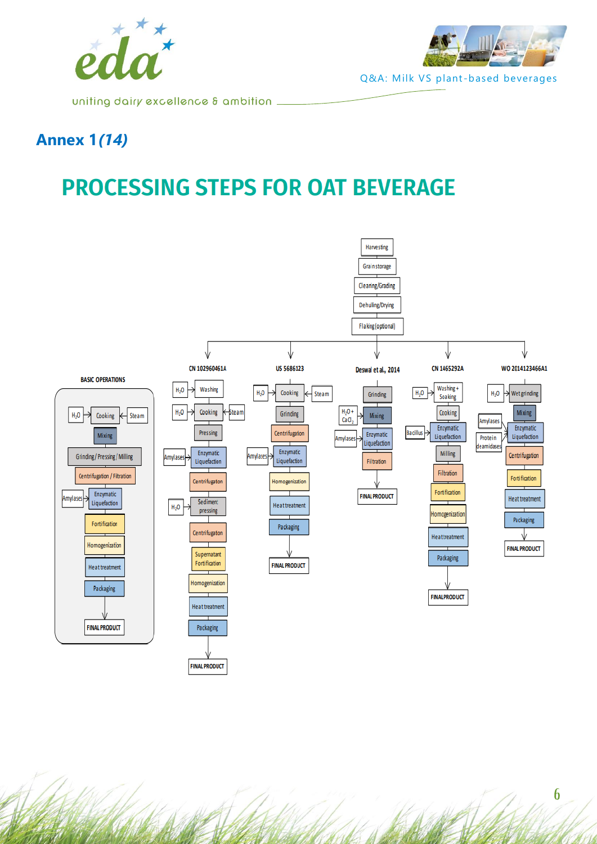



uniting dairy excellence & ambition .

## **Annex 1***(14)*

## **PROCESSING STEPS FOR OAT BEVERAGE**

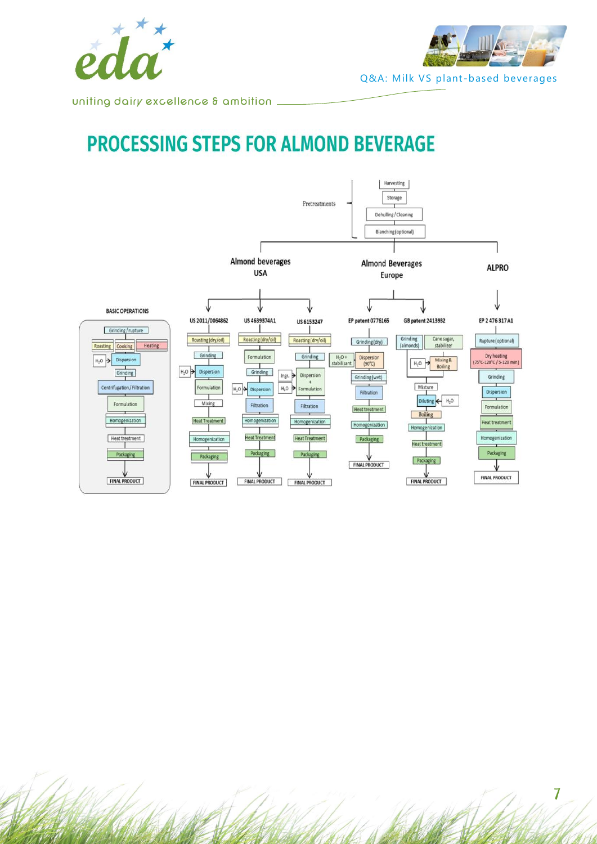



uniting dairy excellence & ambition \_

## **PROCESSING STEPS FOR ALMOND BEVERAGE**



7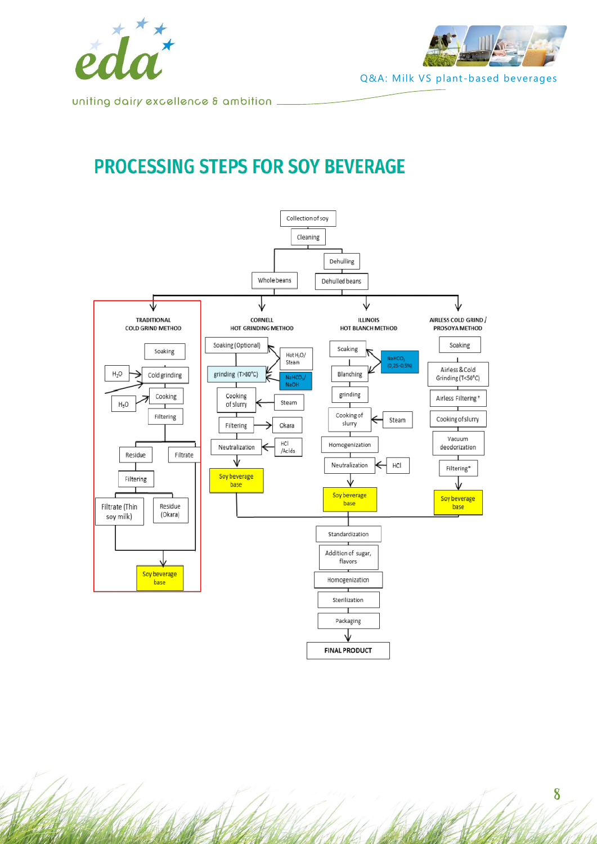



uniting dairy excellence & ambition \_

## **PROCESSING STEPS FOR SOY BEVERAGE**

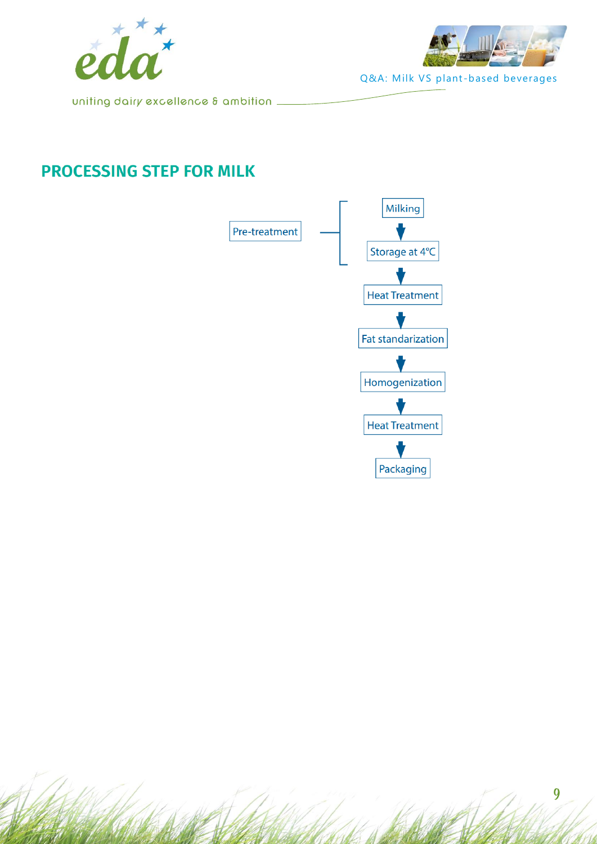



uniting dairy excellence  $\delta$  ambition  $\_$ 

## **PROCESSING STEP FOR MILK**